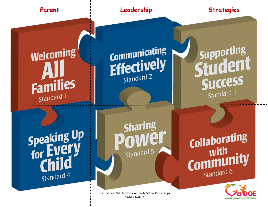